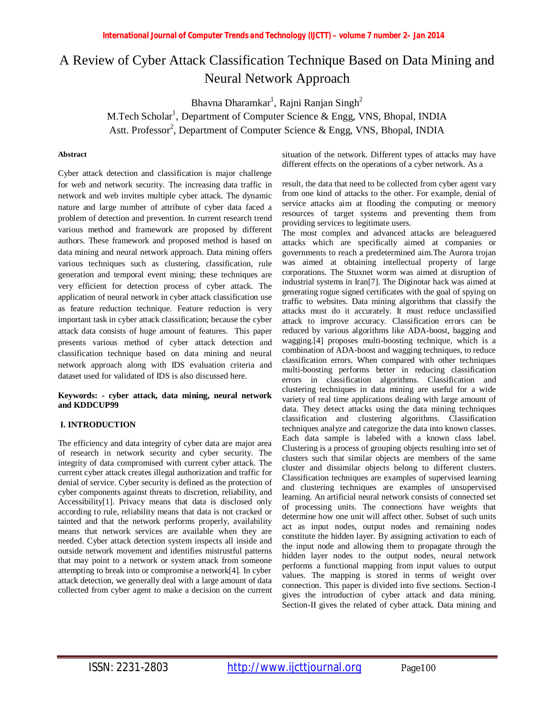# A Review of Cyber Attack Classification Technique Based on Data Mining and Neural Network Approach

Bhavna Dharamkar $^1$ , Rajni Ranjan Singh $^2$ 

M.Tech Scholar<sup>1</sup>, Department of Computer Science & Engg, VNS, Bhopal, INDIA Astt. Professor<sup>2</sup>, Department of Computer Science & Engg, VNS, Bhopal, INDIA

## **Abstract**

Cyber attack detection and classification is major challenge for web and network security. The increasing data traffic in network and web invites multiple cyber attack. The dynamic nature and large number of attribute of cyber data faced a problem of detection and prevention. In current research trend various method and framework are proposed by different authors. These framework and proposed method is based on data mining and neural network approach. Data mining offers various techniques such as clustering, classification, rule generation and temporal event mining; these techniques are very efficient for detection process of cyber attack. The application of neural network in cyber attack classification use as feature reduction technique. Feature reduction is very important task in cyber attack classification; because the cyber attack data consists of huge amount of features. This paper presents various method of cyber attack detection and classification technique based on data mining and neural network approach along with IDS evaluation criteria and dataset used for validated of IDS is also discussed here.

#### **Keywords: - cyber attack, data mining, neural network and KDDCUP99**

## **I. INTRODUCTION**

The efficiency and data integrity of cyber data are major area of research in network security and cyber security. The integrity of data compromised with current cyber attack. The current cyber attack creates illegal authorization and traffic for denial of service. Cyber security is defined as the protection of cyber components against threats to discretion, reliability, and Accessibility[1]. Privacy means that data is disclosed only according to rule, reliability means that data is not cracked or tainted and that the network performs properly, availability means that network services are available when they are needed. Cyber attack detection system inspects all inside and outside network movement and identifies mistrustful patterns that may point to a network or system attack from someone attempting to break into or compromise a network[4]. In cyber attack detection, we generally deal with a large amount of data collected from cyber agent to make a decision on the current

situation of the network. Different types of attacks may have different effects on the operations of a cyber network. As a

result, the data that need to be collected from cyber agent vary from one kind of attacks to the other. For example, denial of service attacks aim at flooding the computing or memory resources of target systems and preventing them from providing services to legitimate users.

The most complex and advanced attacks are beleaguered attacks which are specifically aimed at companies or governments to reach a predetermined aim.The Aurora trojan was aimed at obtaining intellectual property of large corporations. The Stuxnet worm was aimed at disruption of industrial systems in Iran[7]. The Diginotar hack was aimed at generating rogue signed certificates with the goal of spying on traffic to websites. Data mining algorithms that classify the attacks must do it accurately. It must reduce unclassified attack to improve accuracy. Classification errors can be reduced by various algorithms like ADA-boost, bagging and wagging.[4] proposes multi-boosting technique, which is a combination of ADA-boost and wagging techniques, to reduce classification errors. When compared with other techniques multi-boosting performs better in reducing classification errors in classification algorithms. Classification and clustering techniques in data mining are useful for a wide variety of real time applications dealing with large amount of data. They detect attacks using the data mining techniques classification and clustering algorithms. Classification techniques analyze and categorize the data into known classes. Each data sample is labeled with a known class label. Clustering is a process of grouping objects resulting into set of clusters such that similar objects are members of the same cluster and dissimilar objects belong to different clusters. Classification techniques are examples of supervised learning and clustering techniques are examples of unsupervised learning. An artificial neural network consists of connected set of processing units. The connections have weights that determine how one unit will affect other. Subset of such units act as input nodes, output nodes and remaining nodes constitute the hidden layer. By assigning activation to each of the input node and allowing them to propagate through the hidden layer nodes to the output nodes, neural network performs a functional mapping from input values to output values. The mapping is stored in terms of weight over connection. This paper is divided into five sections. Section-I gives the introduction of cyber attack and data mining. Section-II gives the related of cyber attack. Data mining and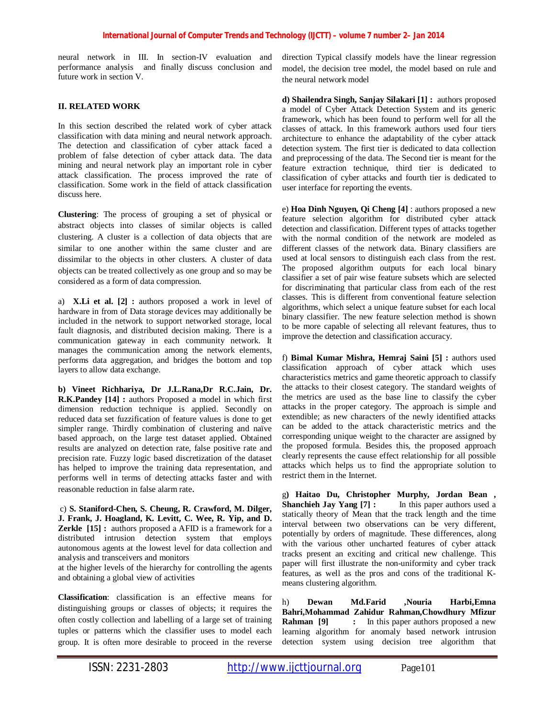neural network in III. In section-IV evaluation and performance analysis and finally discuss conclusion and future work in section V.

## **II. RELATED WORK**

In this section described the related work of cyber attack classification with data mining and neural network approach. The detection and classification of cyber attack faced a problem of false detection of cyber attack data. The data mining and neural network play an important role in cyber attack classification. The process improved the rate of classification. Some work in the field of attack classification discuss here.

**Clustering**: The process of grouping a set of physical or abstract objects into classes of similar objects is called clustering. A cluster is a collection of data objects that are similar to one another within the same cluster and are dissimilar to the objects in other clusters. A cluster of data objects can be treated collectively as one group and so may be considered as a form of data compression.

a) **X.Li et al. [2] :** authors proposed a work in level of hardware in from of Data storage devices may additionally be included in the network to support networked storage, local fault diagnosis, and distributed decision making. There is a communication gateway in each community network. It manages the communication among the network elements, performs data aggregation, and bridges the bottom and top layers to allow data exchange.

**b) Vineet Richhariya, Dr J.L.Rana,Dr R.C.Jain, Dr. R.K.Pandey [14] :** authors Proposed a model in which first dimension reduction technique is applied. Secondly on reduced data set fuzzification of feature values is done to get simpler range. Thirdly combination of clustering and naïve based approach, on the large test dataset applied. Obtained results are analyzed on detection rate, false positive rate and precision rate. Fuzzy logic based discretization of the dataset has helped to improve the training data representation, and performs well in terms of detecting attacks faster and with reasonable reduction in false alarm rate.

c) **S. Staniford-Chen, S. Cheung, R. Crawford, M. Dilger, J. Frank, J. Hoagland, K. Levitt, C. Wee, R. Yip, and D. Zerkle [15] :** authors proposed a AFID is a framework for a distributed intrusion detection system that employs autonomous agents at the lowest level for data collection and analysis and transceivers and monitors

at the higher levels of the hierarchy for controlling the agents and obtaining a global view of activities

**Classification**: classification is an effective means for distinguishing groups or classes of objects; it requires the often costly collection and labelling of a large set of training tuples or patterns which the classifier uses to model each group. It is often more desirable to proceed in the reverse

direction Typical classify models have the linear regression model, the decision tree model, the model based on rule and the neural network model

**d) Shailendra Singh, Sanjay Silakari [1] :** authors proposed a model of Cyber Attack Detection System and its generic framework, which has been found to perform well for all the classes of attack. In this framework authors used four tiers architecture to enhance the adaptability of the cyber attack detection system. The first tier is dedicated to data collection and preprocessing of the data. The Second tier is meant for the feature extraction technique, third tier is dedicated to classification of cyber attacks and fourth tier is dedicated to user interface for reporting the events.

e) **Hoa Dinh Nguyen, Qi Cheng [4]** : authors proposed a new feature selection algorithm for distributed cyber attack detection and classification. Different types of attacks together with the normal condition of the network are modeled as different classes of the network data. Binary classifiers are used at local sensors to distinguish each class from the rest. The proposed algorithm outputs for each local binary classifier a set of pair wise feature subsets which are selected for discriminating that particular class from each of the rest classes. This is different from conventional feature selection algorithms, which select a unique feature subset for each local binary classifier. The new feature selection method is shown to be more capable of selecting all relevant features, thus to improve the detection and classification accuracy.

f) **Bimal Kumar Mishra, Hemraj Saini [5] :** authors used classification approach of cyber attack which uses characteristics metrics and game theoretic approach to classify the attacks to their closest category. The standard weights of the metrics are used as the base line to classify the cyber attacks in the proper category. The approach is simple and extendible; as new characters of the newly identified attacks can be added to the attack characteristic metrics and the corresponding unique weight to the character are assigned by the proposed formula. Besides this, the proposed approach clearly represents the cause effect relationship for all possible attacks which helps us to find the appropriate solution to restrict them in the Internet.

g**) Haitao Du, Christopher Murphy, Jordan Bean , Shanchieh Jay Yang [7] :** In this paper authors used a statically theory of Mean that the track length and the time interval between two observations can be very different, potentially by orders of magnitude. These differences, along with the various other uncharted features of cyber attack tracks present an exciting and critical new challenge. This paper will first illustrate the non-uniformity and cyber track features, as well as the pros and cons of the traditional Kmeans clustering algorithm.

h) **Dewan Md.Farid ,Nouria Harbi,Emna Bahri,Mohammad Zahidur Rahman,Chowdhury Mfizur Rahman** [9] : In this paper authors proposed a new learning algorithm for anomaly based network intrusion detection system using decision tree algorithm that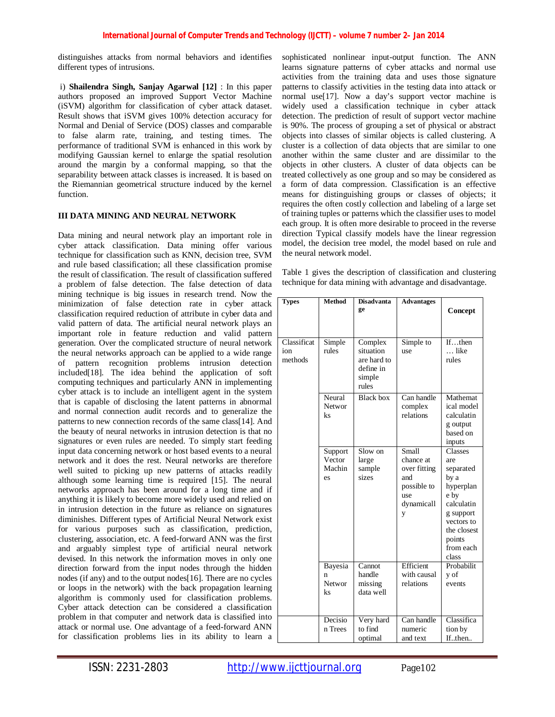distinguishes attacks from normal behaviors and identifies different types of intrusions.

i) **Shailendra Singh, Sanjay Agarwal [12]** : In this paper authors proposed an improved Support Vector Machine (iSVM) algorithm for classification of cyber attack dataset. Result shows that iSVM gives 100% detection accuracy for Normal and Denial of Service (DOS) classes and comparable to false alarm rate, training, and testing times. The performance of traditional SVM is enhanced in this work by modifying Gaussian kernel to enlarge the spatial resolution around the margin by a conformal mapping, so that the separability between attack classes is increased. It is based on the Riemannian geometrical structure induced by the kernel function.

## **III DATA MINING AND NEURAL NETWORK**

Data mining and neural network play an important role in cyber attack classification. Data mining offer various technique for classification such as KNN, decision tree, SVM and rule based classification; all these classification promise the result of classification. The result of classification suffered a problem of false detection. The false detection of data mining technique is big issues in research trend. Now the minimization of false detection rate in cyber attack classification required reduction of attribute in cyber data and valid pattern of data. The artificial neural network plays an important role in feature reduction and valid pattern generation. Over the complicated structure of neural network the neural networks approach can be applied to a wide range of pattern recognition problems intrusion detection included[18]. The idea behind the application of soft computing techniques and particularly ANN in implementing cyber attack is to include an intelligent agent in the system that is capable of disclosing the latent patterns in abnormal and normal connection audit records and to generalize the patterns to new connection records of the same class[14]. And the beauty of neural networks in intrusion detection is that no signatures or even rules are needed. To simply start feeding input data concerning network or host based events to a neural network and it does the rest. Neural networks are therefore well suited to picking up new patterns of attacks readily although some learning time is required [15]. The neural networks approach has been around for a long time and if anything it is likely to become more widely used and relied on in intrusion detection in the future as reliance on signatures diminishes. Different types of Artificial Neural Network exist for various purposes such as classification, prediction, clustering, association, etc. A feed-forward ANN was the first and arguably simplest type of artificial neural network devised. In this network the information moves in only one direction forward from the input nodes through the hidden nodes (if any) and to the output nodes[16]. There are no cycles or loops in the network) with the back propagation learning algorithm is commonly used for classification problems. Cyber attack detection can be considered a classification problem in that computer and network data is classified into attack or normal use. One advantage of a feed-forward ANN for classification problems lies in its ability to learn a

sophisticated nonlinear input-output function. The ANN learns signature patterns of cyber attacks and normal use activities from the training data and uses those signature patterns to classify activities in the testing data into attack or normal use[17]. Now a day's support vector machine is widely used a classification technique in cyber attack detection. The prediction of result of support vector machine is 90%. The process of grouping a set of physical or abstract objects into classes of similar objects is called clustering. A cluster is a collection of data objects that are similar to one another within the same cluster and are dissimilar to the objects in other clusters. A cluster of data objects can be treated collectively as one group and so may be considered as a form of data compression. Classification is an effective means for distinguishing groups or classes of objects; it requires the often costly collection and labeling of a large set of training tuples or patterns which the classifier uses to model each group. It is often more desirable to proceed in the reverse direction Typical classify models have the linear regression model, the decision tree model, the model based on rule and the neural network model.

Table 1 gives the description of classification and clustering technique for data mining with advantage and disadvantage.

| <b>Types</b>                  | <b>Method</b>                     | <b>Disadvanta</b><br>ge                                             | <b>Advantages</b>                                                                  | Concept                                                                                                                                          |
|-------------------------------|-----------------------------------|---------------------------------------------------------------------|------------------------------------------------------------------------------------|--------------------------------------------------------------------------------------------------------------------------------------------------|
| Classificat<br>ion<br>methods | Simple<br>rules                   | Complex<br>situation<br>are hard to<br>define in<br>simple<br>rules | Simple to<br>use                                                                   | Ifthen<br>like<br>rules                                                                                                                          |
|                               | Neural<br>Networ<br>ks            | <b>Black box</b>                                                    | Can handle<br>complex<br>relations                                                 | Mathemat<br>ical model<br>calculatin<br>g output<br>based on<br>inputs                                                                           |
|                               | Support<br>Vector<br>Machin<br>es | Slow on<br>large<br>sample<br>sizes                                 | Small<br>chance at<br>over fitting<br>and<br>possible to<br>use<br>dynamicall<br>y | Classes<br>are<br>separated<br>by a<br>hyperplan<br>e by<br>calculatin<br>g support<br>vectors to<br>the closest<br>points<br>from each<br>class |
|                               | Bayesia<br>n<br>Networ<br>ks      | Cannot<br>handle<br>missing<br>data well                            | Efficient<br>with causal<br>relations                                              | Probabilit<br>y of<br>events                                                                                                                     |
|                               | Decisio<br>n Trees                | Very hard<br>to find<br>optimal                                     | Can handle<br>numeric<br>and text                                                  | Classifica<br>tion by<br>If.then                                                                                                                 |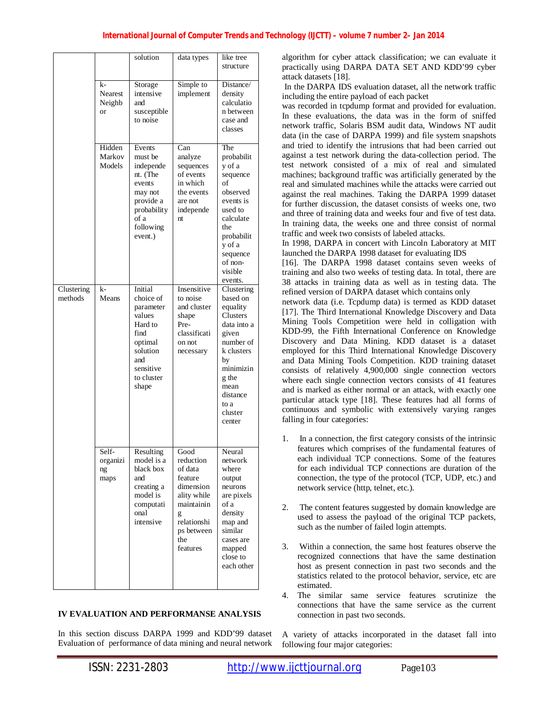|                       |                                      | solution                                                                                                                         | data types                                                                                                                             | like tree<br>structure                                                                                                                                                                |
|-----------------------|--------------------------------------|----------------------------------------------------------------------------------------------------------------------------------|----------------------------------------------------------------------------------------------------------------------------------------|---------------------------------------------------------------------------------------------------------------------------------------------------------------------------------------|
|                       | k-<br>Nearest<br>Neighb<br><b>or</b> | Storage<br>intensive<br>and<br>susceptible<br>to noise                                                                           | Simple to<br>implement                                                                                                                 | Distance/<br>density<br>calculatio<br>n between<br>case and<br>classes                                                                                                                |
|                       | Hidden<br>Markov<br>Models           | Events<br>must be<br>independe<br>nt. (The<br>events<br>may not<br>provide a<br>probability<br>of a<br>following<br>event.)      | $\overline{Can}$<br>analyze<br>sequences<br>of events<br>in which<br>the events<br>are not<br>independe<br>nt.                         | The<br>probabilit<br>y of a<br>sequence<br>of<br>observed<br>events is<br>used to<br>calculate<br>the<br>probabilit<br>y of a<br>sequence<br>of non-<br>visible<br>events.            |
| Clustering<br>methods | k-<br>Means                          | Initial<br>choice of<br>parameter<br>values<br>Hard to<br>find<br>optimal<br>solution<br>and<br>sensitive<br>to cluster<br>shape | Insensitive<br>to noise<br>and cluster<br>shape<br>Pre-<br>classificati<br>on not<br>necessary                                         | Clustering<br>based on<br>equality<br><b>Clusters</b><br>data into a<br>given<br>number of<br>k clusters<br>by<br>minimizin<br>g the<br>mean<br>distance<br>to a<br>cluster<br>center |
|                       | Self-<br>organizi<br>ng<br>maps      | Resulting<br>model is a<br>black box<br>and<br>creating a<br>model is<br>computati<br>onal<br>intensive                          | Good<br>reduction<br>of data<br>feature<br>dimension<br>ality while<br>maintainin<br>g<br>relationshi<br>ps between<br>the<br>features | Neural<br>network<br>where<br>output<br>neurons<br>are pixels<br>of a<br>density<br>map and<br>similar<br>cases are<br>mapped<br>close to<br>each other                               |

# **IV EVALUATION AND PERFORMANSE ANALYSIS**

In this section discuss DARPA 1999 and KDD'99 dataset Evaluation of performance of data mining and neural network algorithm for cyber attack classification; we can evaluate it practically using DARPA DATA SET AND KDD'99 cyber attack datasets [18].

In the DARPA IDS evaluation dataset, all the network traffic including the entire payload of each packet

was recorded in tcpdump format and provided for evaluation. In these evaluations, the data was in the form of sniffed network traffic, Solaris BSM audit data, Windows NT audit data (in the case of DARPA 1999) and file system snapshots and tried to identify the intrusions that had been carried out against a test network during the data-collection period. The test network consisted of a mix of real and simulated machines; background traffic was artificially generated by the real and simulated machines while the attacks were carried out against the real machines. Taking the DARPA 1999 dataset for further discussion, the dataset consists of weeks one, two and three of training data and weeks four and five of test data. In training data, the weeks one and three consist of normal traffic and week two consists of labeled attacks.

In 1998, DARPA in concert with Lincoln Laboratory at MIT launched the DARPA 1998 dataset for evaluating IDS

[16]. The DARPA 1998 dataset contains seven weeks of training and also two weeks of testing data. In total, there are 38 attacks in training data as well as in testing data. The refined version of DARPA dataset which contains only

network data (i.e. Tcpdump data) is termed as KDD dataset [17]. The Third International Knowledge Discovery and Data Mining Tools Competition were held in colligation with KDD-99, the Fifth International Conference on Knowledge Discovery and Data Mining. KDD dataset is a dataset employed for this Third International Knowledge Discovery and Data Mining Tools Competition. KDD training dataset consists of relatively 4,900,000 single connection vectors where each single connection vectors consists of 41 features and is marked as either normal or an attack, with exactly one particular attack type [18]. These features had all forms of continuous and symbolic with extensively varying ranges falling in four categories:

- 1. In a connection, the first category consists of the intrinsic features which comprises of the fundamental features of each individual TCP connections. Some of the features for each individual TCP connections are duration of the connection, the type of the protocol (TCP, UDP, etc.) and network service (http, telnet, etc.).
- 2. The content features suggested by domain knowledge are used to assess the payload of the original TCP packets, such as the number of failed login attempts.
- 3. Within a connection, the same host features observe the recognized connections that have the same destination host as present connection in past two seconds and the statistics related to the protocol behavior, service, etc are estimated.
- 4. The similar same service features scrutinize the connections that have the same service as the current connection in past two seconds.

A variety of attacks incorporated in the dataset fall into following four major categories: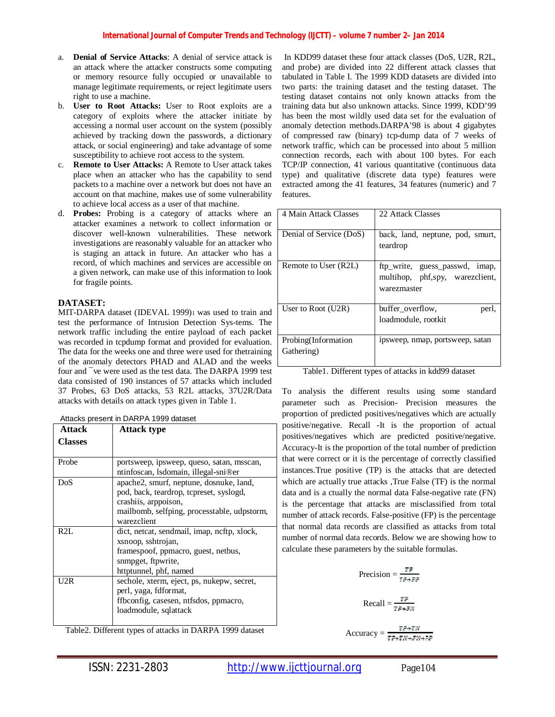- a. **Denial of Service Attacks**: A denial of service attack is an attack where the attacker constructs some computing or memory resource fully occupied or unavailable to manage legitimate requirements, or reject legitimate users right to use a machine.
- b. **User to Root Attacks:** User to Root exploits are a category of exploits where the attacker initiate by accessing a normal user account on the system (possibly achieved by tracking down the passwords, a dictionary attack, or social engineering) and take advantage of some susceptibility to achieve root access to the system.
- c. **Remote to User Attacks:** A Remote to User attack takes place when an attacker who has the capability to send packets to a machine over a network but does not have an account on that machine, makes use of some vulnerability to achieve local access as a user of that machine.
- d. **Probes:** Probing is a category of attacks where an attacker examines a network to collect information or discover well-known vulnerabilities. These network investigations are reasonably valuable for an attacker who is staging an attack in future. An attacker who has a record, of which machines and services are accessible on a given network, can make use of this information to look for fragile points.

## **DATASET:**

MIT-DARPA dataset (IDEVAL 1999)1 was used to train and test the performance of Intrusion Detection Sys-tems. The network traffic including the entire payload of each packet was recorded in tcpdump format and provided for evaluation. The data for the weeks one and three were used for thetraining of the anomaly detectors PHAD and ALAD and the weeks four and  $\overline{\phantom{a}}$  ve were used as the test data. The DARPA 1999 test data consisted of 190 instances of 57 attacks which included 37 Probes, 63 DoS attacks, 53 R2L attacks, 37U2R/Data attacks with details on attack types given in Table 1.

|                | Attacks present in DARPA 1999 dataset       |
|----------------|---------------------------------------------|
| Attack         | <b>Attack type</b>                          |
| <b>Classes</b> |                                             |
|                |                                             |
| Probe          | portsweep, ipsweep, queso, satan, msscan,   |
|                | ntinfoscan, Isdomain, illegal-sni®er        |
| DoS            | apache2, smurf, neptune, dosnuke, land,     |
|                | pod, back, teardrop, tcpreset, syslogd,     |
|                | crashiis, arppoison,                        |
|                | mailbomb, selfping, processtable, udpstorm, |
|                | warezclient                                 |
| R2L            | dict, netcat, sendmail, imap, ncftp, xlock, |
|                | xsnoop, sshtrojan,                          |
|                | framespoof, ppmacro, guest, netbus,         |
|                | snmpget, ftpwrite,                          |
|                | httptunnel, phf, named                      |
| U2R            | sechole, xterm, eject, ps, nukepw, secret,  |
|                | perl, yaga, fdformat,                       |
|                | ffbconfig, casesen, ntfsdos, ppmacro,       |
|                | loadmodule, sqlattack                       |
|                |                                             |

Attacks present in DARPA 1999 dataset

Table2. Different types of attacks in DARPA 1999 dataset

In KDD99 dataset these four attack classes (DoS, U2R, R2L, and probe) are divided into 22 different attack classes that tabulated in Table I. The 1999 KDD datasets are divided into two parts: the training dataset and the testing dataset. The testing dataset contains not only known attacks from the training data but also unknown attacks. Since 1999, KDD'99 has been the most wildly used data set for the evaluation of anomaly detection methods.DARPA'98 is about 4 gigabytes of compressed raw (binary) tcp-dump data of 7 weeks of network traffic, which can be processed into about 5 million connection records, each with about 100 bytes. For each TCP/IP connection, 41 various quantitative (continuous data type) and qualitative (discrete data type) features were extracted among the 41 features, 34 features (numeric) and 7 features.

| 4 Main Attack Classes             | 22 Attack Classes                                                                |
|-----------------------------------|----------------------------------------------------------------------------------|
| Denial of Service (DoS)           | back, land, neptune, pod, smurt,<br>teardrop                                     |
| Remote to User (R2L)              | ftp_write, guess_passwd, imap,<br>multihop, phf,spy, warezclient,<br>warezmaster |
| User to Root $(U2R)$              | buffer overflow,<br>perl,<br>loadmodule, rootkit                                 |
| Probing(Information<br>Gathering) | ipsweep, nmap, portsweep, satan                                                  |

| Table1. Different types of attacks in kdd99 dataset |
|-----------------------------------------------------|
|-----------------------------------------------------|

To analysis the different results using some standard parameter such as Precision- Precision measures the proportion of predicted positives/negatives which are actually positive/negative. Recall -It is the proportion of actual positives/negatives which are predicted positive/negative. Accuracy-It is the proportion of the total number of prediction that were correct or it is the percentage of correctly classified instances.True positive (TP) is the attacks that are detected which are actually true attacks ,True False (TF) is the normal data and is a ctually the normal data False-negative rate (FN) is the percentage that attacks are misclassified from total number of attack records. False-positive (FP) is the percentage that normal data records are classified as attacks from total number of normal data records. Below we are showing how to calculate these parameters by the suitable formulas.

$$
\text{Precision} = \frac{\mathbf{TP}}{\mathbf{TP} + \mathbf{FP}}
$$

$$
\text{Recall} = \frac{4 \cdot F}{TP + FN}
$$

**TP-1W** Accuracy =  $\frac{1}{TP+TN+FN+FP}$